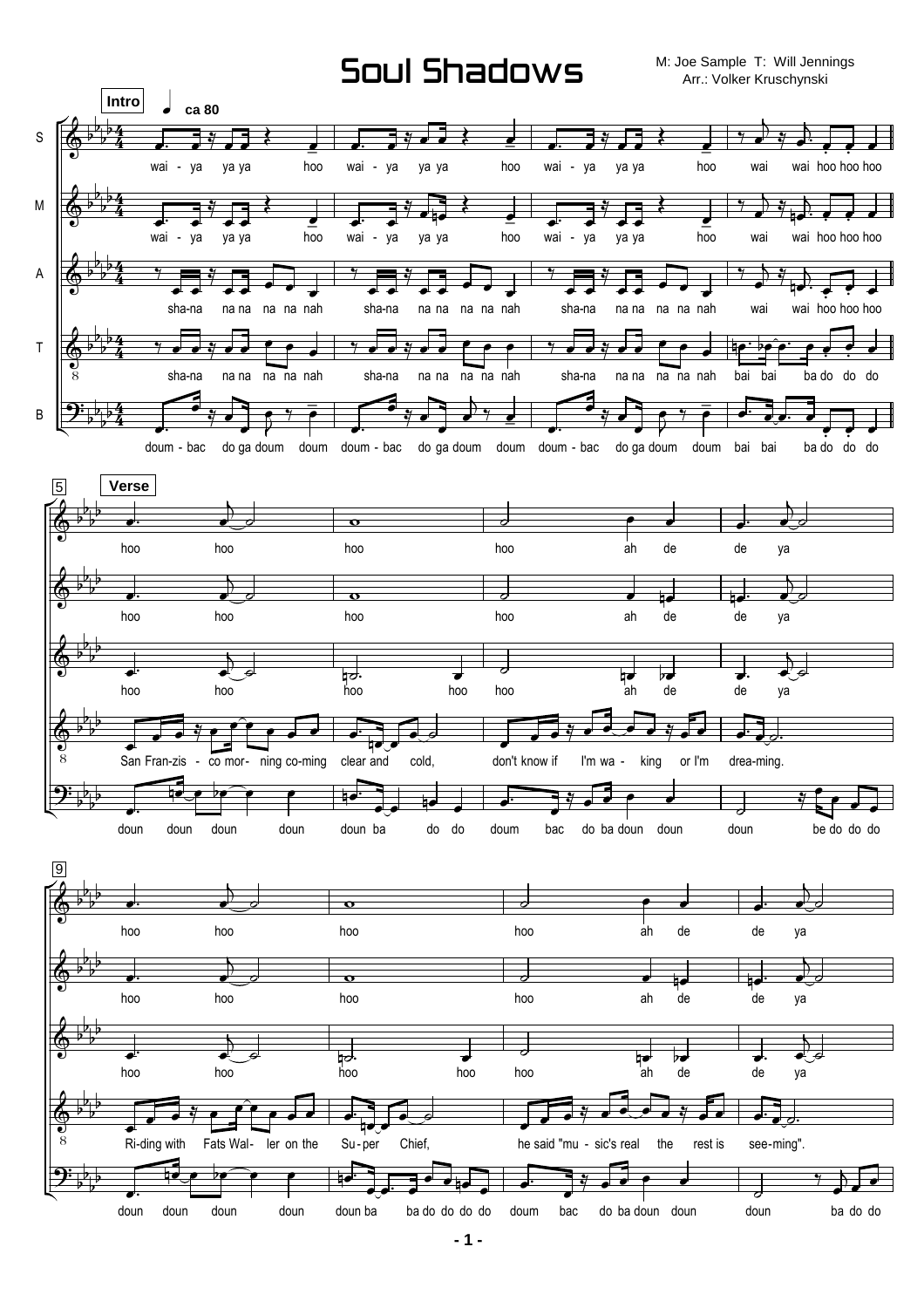## Soul Shadows

M: Joe Sample T: Will Jennings Arr.: Volker Kruschynski